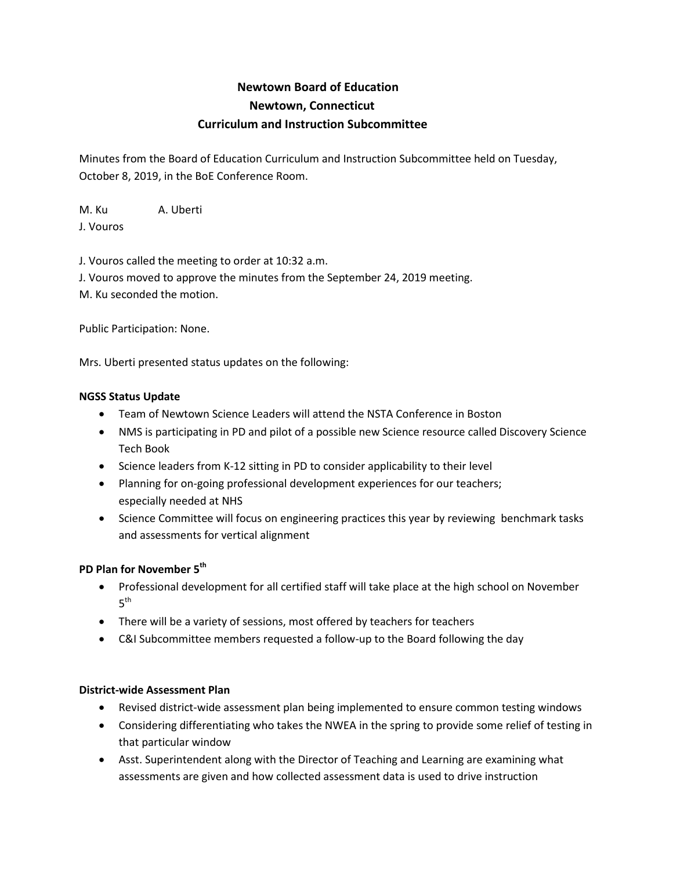# **Newtown Board of Education Newtown, Connecticut Curriculum and Instruction Subcommittee**

Minutes from the Board of Education Curriculum and Instruction Subcommittee held on Tuesday, October 8, 2019, in the BoE Conference Room.

M. Ku A. Uberti J. Vouros

J. Vouros called the meeting to order at 10:32 a.m.

J. Vouros moved to approve the minutes from the September 24, 2019 meeting. M. Ku seconded the motion.

Public Participation: None.

Mrs. Uberti presented status updates on the following:

## **NGSS Status Update**

- Team of Newtown Science Leaders will attend the NSTA Conference in Boston
- NMS is participating in PD and pilot of a possible new Science resource called Discovery Science Tech Book
- Science leaders from K-12 sitting in PD to consider applicability to their level
- Planning for on-going professional development experiences for our teachers; especially needed at NHS
- Science Committee will focus on engineering practices this year by reviewing benchmark tasks and assessments for vertical alignment

## **PD Plan for November 5th**

- Professional development for all certified staff will take place at the high school on November  $5<sup>th</sup>$
- There will be a variety of sessions, most offered by teachers for teachers
- C&I Subcommittee members requested a follow-up to the Board following the day

### **District-wide Assessment Plan**

- Revised district-wide assessment plan being implemented to ensure common testing windows
- Considering differentiating who takes the NWEA in the spring to provide some relief of testing in that particular window
- Asst. Superintendent along with the Director of Teaching and Learning are examining what assessments are given and how collected assessment data is used to drive instruction